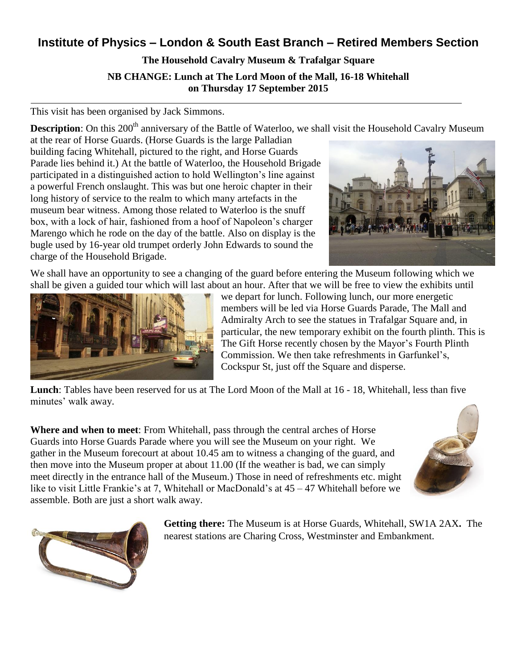# **Institute of Physics – London & South East Branch – Retired Members Section**

## **The Household Cavalry Museum & Trafalgar Square**

**NB CHANGE: Lunch at The Lord Moon of the Mall, 16-18 Whitehall on Thursday 17 September 2015**

This visit has been organised by Jack Simmons.

**Description**: On this 200<sup>th</sup> anniversary of the Battle of Waterloo, we shall visit the Household Cavalry Museum

at the rear of Horse Guards. (Horse Guards is the large Palladian building facing Whitehall, pictured to the right, and Horse Guards Parade lies behind it.) At the battle of Waterloo, the Household Brigade participated in a distinguished action to hold Wellington's line against a powerful French onslaught. This was but one heroic chapter in their long history of service to the realm to which many artefacts in the museum bear witness. Among those related to Waterloo is the snuff box, with a lock of hair, fashioned from a hoof of Napoleon's charger Marengo which he rode on the day of the battle. Also on display is the bugle used by 16-year old trumpet orderly John Edwards to sound the charge of the Household Brigade.



We shall have an opportunity to see a changing of the guard before entering the Museum following which we shall be given a guided tour which will last about an hour. After that we will be free to view the exhibits until



we depart for lunch. Following lunch, our more energetic members will be led via Horse Guards Parade, The Mall and Admiralty Arch to see the statues in Trafalgar Square and, in particular, the new temporary exhibit on the fourth plinth. This is The Gift Horse recently chosen by the Mayor's Fourth Plinth Commission. We then take refreshments in Garfunkel's, Cockspur St, just off the Square and disperse.

**Lunch**: Tables have been reserved for us at The Lord Moon of the Mall at 16 - 18, Whitehall, less than five minutes' walk away.

**Where and when to meet**: From Whitehall, pass through the central arches of Horse Guards into Horse Guards Parade where you will see the Museum on your right. We gather in the Museum forecourt at about 10.45 am to witness a changing of the guard, and then move into the Museum proper at about 11.00 (If the weather is bad, we can simply meet directly in the entrance hall of the Museum.) Those in need of refreshments etc. might like to visit Little Frankie's at 7, Whitehall or MacDonald's at  $45 - 47$  Whitehall before we assemble. Both are just a short walk away.





**Getting there:** The Museum is at Horse Guards, Whitehall, SW1A 2AX**.** The nearest stations are Charing Cross, Westminster and Embankment.